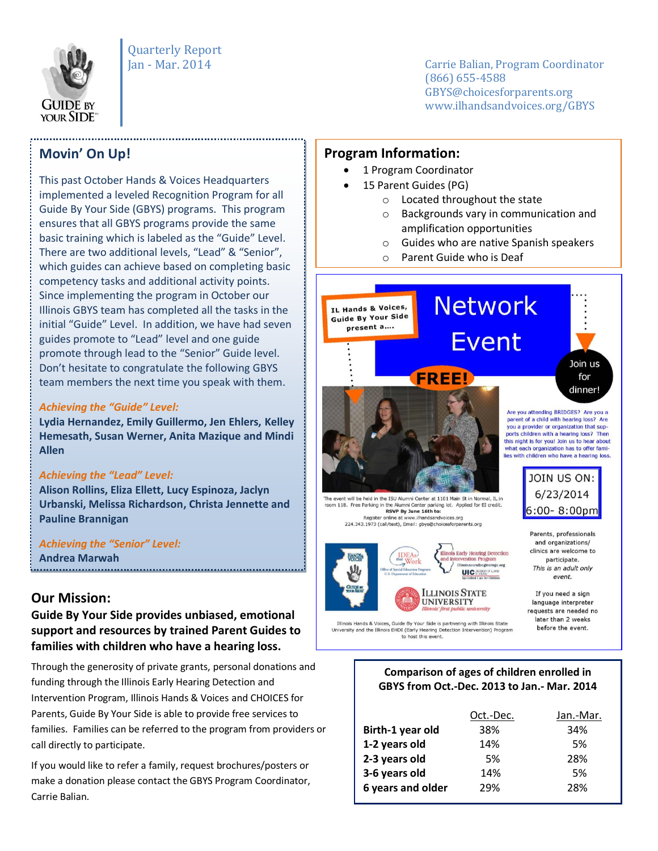

Quarterly Report

Jan - Mar. 2014 Carrie Balian, Program Coordinator (866) 655-4588 GBYS@choicesforparents.org www.ilhandsandvoices.org/GBYS

## **Movin' On Up!**

This past October Hands & Voices Headquarters implemented a leveled Recognition Program for all Guide By Your Side (GBYS) programs. This program ensures that all GBYS programs provide the same basic training which is labeled as the "Guide" Level. There are two additional levels, "Lead" & "Senior", which guides can achieve based on completing basic competency tasks and additional activity points. Since implementing the program in October our Illinois GBYS team has completed all the tasks in the initial "Guide" Level. In addition, we have had seven guides promote to "Lead" level and one guide promote through lead to the "Senior" Guide level. Don't hesitate to congratulate the following GBYS team members the next time you speak with them.

#### *Achieving the "Guide" Level:*

**Lydia Hernandez, Emily Guillermo, Jen Ehlers, Kelley Hemesath, Susan Werner, Anita Mazique and Mindi Allen**

#### *Achieving the "Lead" Level:*

**Alison Rollins, Eliza Ellett, Lucy Espinoza, Jaclyn Urbanski, Melissa Richardson, Christa Jennette and Pauline Brannigan**

*Achieving the "Senior" Level:* **Andrea Marwah**

## **Our Mission:**

## **Guide By Your Side provides unbiased, emotional support and resources by trained Parent Guides to families with children who have a hearing loss.**

Through the generosity of private grants, personal donations and funding through the Illinois Early Hearing Detection and Intervention Program, Illinois Hands & Voices and CHOICES for Parents, Guide By Your Side is able to provide free services to families. Families can be referred to the program from providers or call directly to participate.

If you would like to refer a family, request brochures/posters or make a donation please contact the GBYS Program Coordinator, Carrie Balian.

### **Program Information:**

- 1 Program Coordinator
- 15 Parent Guides (PG)
	- o Located throughout the state
	- o Backgrounds vary in communication and amplification opportunities
	- o Guides who are native Spanish speakers
	- o Parent Guide who is Deaf





and organizations/ clinics are welcome to participate. This is an adult only **UIC** Water event.

If you need a sign language interpreter requests are needed no later than 2 weeks before the event.

Illinois Hands & Voices, Guide By Your Side is partnering with Illinois State<br>University and the Illinois EHDI (Early Hearing Detection Intervention) Program to host this event.

#### **Comparison of ages of children enrolled in GBYS from Oct.-Dec. 2013 to Jan.- Mar. 2014**

|                   | Oct.-Dec. | Jan.-Mar. |
|-------------------|-----------|-----------|
| Birth-1 year old  | 38%       | 34%       |
| 1-2 years old     | 14%       | .5%       |
| 2-3 years old     | .5%       | 28%       |
| 3-6 years old     | 14%       | .5%       |
| 6 years and older | 29%       | 28%       |